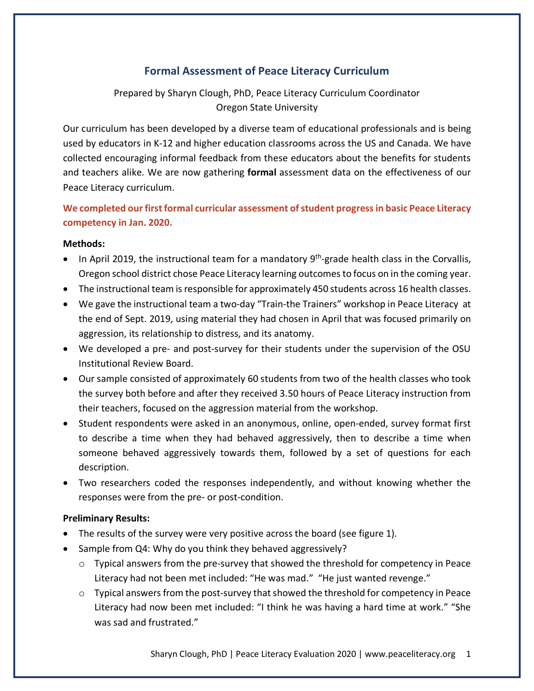# **Formal Assessment of Peace Literacy Curriculum**

Prepared by Sharyn Clough, PhD, Peace Literacy Curriculum Coordinator Oregon State University

Our curriculum has been developed by a diverse team of educational professionals and is being used by educators in K-12 and higher education classrooms across the US and Canada. We have collected encouraging informal feedback from these educators about the benefits for students and teachers alike. We are now gathering **formal** assessment data on the effectiveness of our Peace Literacy curriculum.

## **We completed our first formal curricular assessment of student progress in basic Peace Literacy competency in Jan. 2020.**

## **Methods:**

- In April 2019, the instructional team for a mandatory  $9<sup>th</sup>$ -grade health class in the Corvallis, Oregon school district chose Peace Literacy learning outcomes to focus on in the coming year.
- The instructional team is responsible for approximately 450 students across 16 health classes.
- We gave the instructional team a two-day "Train-the Trainers" workshop in Peace Literacy at the end of Sept. 2019, using material they had chosen in April that was focused primarily on aggression, its relationship to distress, and its anatomy.
- We developed a pre- and post-survey for their students under the supervision of the OSU Institutional Review Board.
- Our sample consisted of approximately 60 students from two of the health classes who took the survey both before and after they received 3.50 hours of Peace Literacy instruction from their teachers, focused on the aggression material from the workshop.
- Student respondents were asked in an anonymous, online, open-ended, survey format first to describe a time when they had behaved aggressively, then to describe a time when someone behaved aggressively towards them, followed by a set of questions for each description.
- Two researchers coded the responses independently, and without knowing whether the responses were from the pre- or post-condition.

## **Preliminary Results:**

- The results of the survey were very positive across the board (see figure 1).
- Sample from Q4: Why do you think they behaved aggressively?
	- o Typical answers from the pre-survey that showed the threshold for competency in Peace Literacy had not been met included: "He was mad." "He just wanted revenge."
	- $\circ$  Typical answers from the post-survey that showed the threshold for competency in Peace Literacy had now been met included: "I think he was having a hard time at work." "She was sad and frustrated."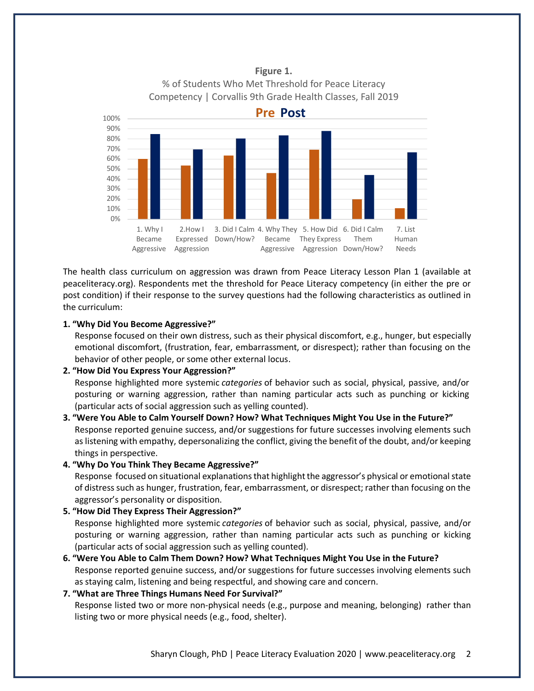

**Figure 1.** % of Students Who Met Threshold for Peace Literacy Competency | Corvallis 9th Grade Health Classes, Fall 2019

The health class curriculum on aggression was drawn from Peace Literacy Lesson Plan 1 (available at peaceliteracy.org). Respondents met the threshold for Peace Literacy competency (in either the pre or post condition) if their response to the survey questions had the following characteristics as outlined in the curriculum:

#### **1. "Why Did You Become Aggressive?"**

Response focused on their own distress, such as their physical discomfort, e.g., hunger, but especially emotional discomfort, (frustration, fear, embarrassment, or disrespect); rather than focusing on the behavior of other people, or some other external locus.

#### **2. "How Did You Express Your Aggression?"**

Response highlighted more systemic *categories* of behavior such as social, physical, passive, and/or posturing or warning aggression, rather than naming particular acts such as punching or kicking (particular acts of social aggression such as yelling counted).

## **3. "Were You Able to Calm Yourself Down? How? What Techniques Might You Use in the Future?"** Response reported genuine success, and/or suggestions for future successes involving elements such as listening with empathy, depersonalizing the conflict, giving the benefit of the doubt, and/or keeping things in perspective.

#### **4. "Why Do You Think They Became Aggressive?"**

Response focused on situational explanations that highlight the aggressor's physical or emotional state of distress such as hunger, frustration, fear, embarrassment, or disrespect; rather than focusing on the aggressor's personality or disposition.

#### **5. "How Did They Express Their Aggression?"**

Response highlighted more systemic *categories* of behavior such as social, physical, passive, and/or posturing or warning aggression, rather than naming particular acts such as punching or kicking (particular acts of social aggression such as yelling counted).

**6. "Were You Able to Calm Them Down? How? What Techniques Might You Use in the Future?** Response reported genuine success, and/or suggestions for future successes involving elements such as staying calm, listening and being respectful, and showing care and concern.

### **7. "What are Three Things Humans Need For Survival?"**

Response listed two or more non-physical needs (e.g., purpose and meaning, belonging) rather than listing two or more physical needs (e.g., food, shelter).